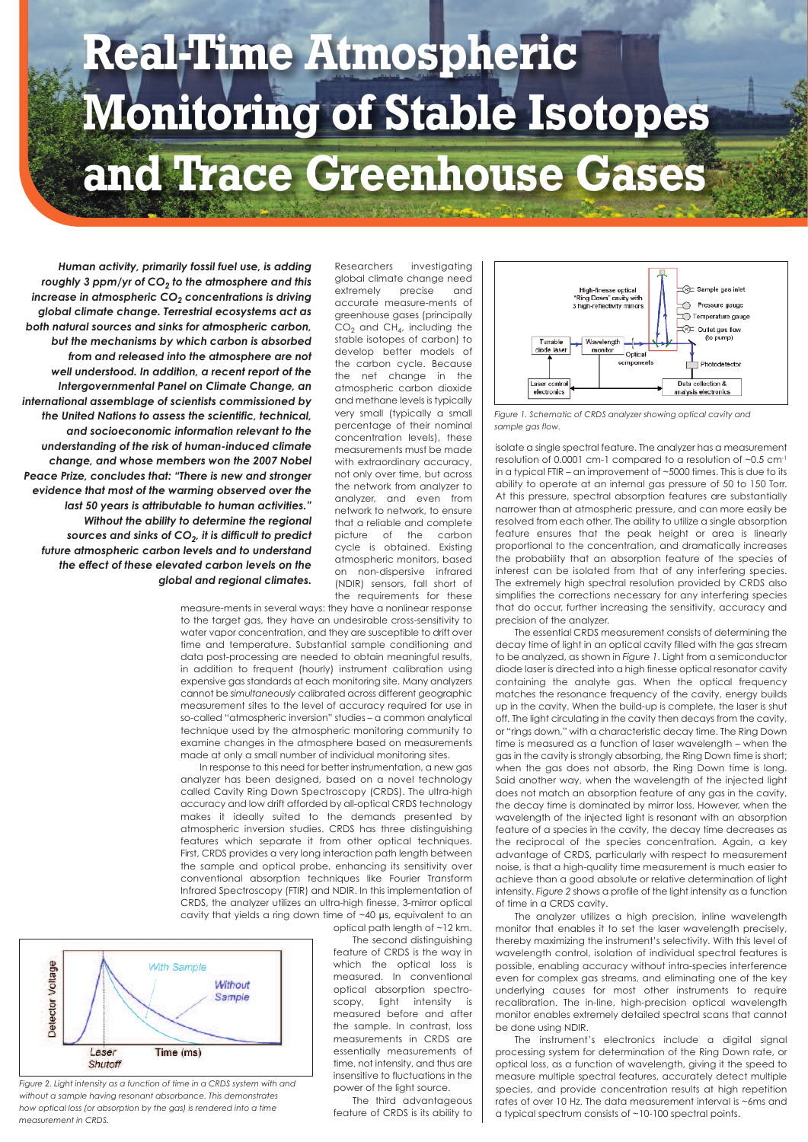## **Real-Time Atmospheric Monitoring of Stable Isotopes and Trace Greenhouse Gases**

*Human activity, primarily fossil fuel use, is adding roughly 3 ppm/yr of CO<sub>2</sub> to the atmosphere and this increase in atmospheric CO<sub>2</sub> concentrations is driving global climate change. Terrestrial ecosystems act as both natural sources and sinks for atmospheric carbon, but the mechanisms by which carbon is absorbed from and released into the atmosphere are not well understood. In addition, a recent report of the Intergovernmental Panel on Climate Change, an international assemblage of scientists commissioned by the United Nations to assess the scientific, technical, and socioeconomic information relevant to the understanding of the risk of human-induced climate change, and whose members won the 2007 Nobel Peace Prize, concludes that: "There is new and stronger evidence that most of the warming observed over the last 50 years is attributable to human activities." Without the ability to determine the regional sources and sinks of CO2, it is difficult to predict future atmospheric carbon levels and to understand the effect of these elevated carbon levels on the global and regional climates.* Researchers investigating global climate change need extremely precise and accurate measure-ments of greenhouse gases (principally  $CO<sub>2</sub>$  and  $CH<sub>4</sub>$ , including the stable isotopes of carbon) to develop better models of the carbon cycle. Because the net change in the atmospheric carbon dioxide and methane levels is typically very small (typically a small percentage of their nominal concentration levels), these measurements must be made with extraordinary accuracy, not only over time, but across the network from analyzer to analyzer, and even from network to network, to ensure that a reliable and complete picture of the carbon cycle is obtained. Existing atmospheric monitors, based on non-dispersive infrared (NDIR) sensors, fall short of the requirements for these

measure-ments in several ways: they have a nonlinear response to the target gas, they have an undesirable cross-sensitivity to water vapor concentration, and they are susceptible to drift over time and temperature. Substantial sample conditioning and data post-processing are needed to obtain meaningful results, in addition to frequent (hourly) instrument calibration using expensive gas standards at each monitoring site. Many analyzers cannot be *simultaneously* calibrated across different geographic measurement sites to the level of accuracy required for use in so-called "atmospheric inversion" studies – a common analytical technique used by the atmospheric monitoring community to examine changes in the atmosphere based on measurements made at only a small number of individual monitoring sites.

In response to this need for better instrumentation, a new gas analyzer has been designed, based on a novel technology called Cavity Ring Down Spectroscopy (CRDS). The ultra-high accuracy and low drift afforded by all-optical CRDS technology makes it ideally suited to the demands presented by atmospheric inversion studies. CRDS has three distinguishing features which separate it from other optical techniques. First, CRDS provides a very long interaction path length between the sample and optical probe, enhancing its sensitivity over conventional absorption techniques like Fourier Transform Infrared Spectroscopy (FTIR) and NDIR. In this implementation of CRDS, the analyzer utilizes an ultra-high finesse, 3-mirror optical cavity that yields a ring down time of ~40 µs, equivalent to an



*Figure 2. Light intensity as a function of time in a CRDS system with and without a sample having resonant absorbance. This demonstrates how optical loss (or absorption by the gas) is rendered into a time measurement in CRDS.*

optical path length of ~12 km. The second distinguishing feature of CRDS is the way in

which the optical loss is measured. In conventional optical absorption spectroscopy, light intensity is measured before and after the sample. In contrast, loss measurements in CRDS are essentially measurements of time, not intensity, and thus are insensitive to fluctuations in the power of the light source.

The third advantageous feature of CRDS is its ability to



*Figure 1. Schematic of CRDS analyzer showing optical cavity and sample gas flow.*

isolate a single spectral feature. The analyzer has a measurement resolution of 0.0001 cm-1 compared to a resolution of ~0.5 cm-1 in a typical FTIR – an improvement of ~5000 times. This is due to its ability to operate at an internal gas pressure of 50 to 150 Torr. At this pressure, spectral absorption features are substantially narrower than at atmospheric pressure, and can more easily be resolved from each other. The ability to utilize a single absorption feature ensures that the peak height or area is linearly proportional to the concentration, and dramatically increases the probability that an absorption feature of the species of interest can be isolated from that of any interfering species. The extremely high spectral resolution provided by CRDS also simplifies the corrections necessary for any interfering species that do occur, further increasing the sensitivity, accuracy and precision of the analyzer.

The essential CRDS measurement consists of determining the decay time of light in an optical cavity filled with the gas stream to be analyzed, as shown in *Figure 1*. Light from a semiconductor diode laser is directed into a high finesse optical resonator cavity containing the analyte gas. When the optical frequency matches the resonance frequency of the cavity, energy builds up in the cavity. When the build-up is complete, the laser is shut off. The light circulating in the cavity then decays from the cavity, or "rings down," with a characteristic decay time. The Ring Down time is measured as a function of laser wavelength – when the gas in the cavity is strongly absorbing, the Ring Down time is short; when the gas does not absorb, the Ring Down time is long. Said another way, when the wavelength of the injected light does not match an absorption feature of any gas in the cavity, the decay time is dominated by mirror loss. However, when the wavelength of the injected light is resonant with an absorption feature of a species in the cavity, the decay time decreases as the reciprocal of the species concentration. Again, a key advantage of CRDS, particularly with respect to measurement noise, is that a high-quality time measurement is much easier to achieve than a good absolute or relative determination of light intensity. *Figure 2* shows a profile of the light intensity as a function of time in a CRDS cavity.

The analyzer utilizes a high precision, inline wavelength monitor that enables it to set the laser wavelength precisely, thereby maximizing the instrument's selectivity. With this level of wavelength control, isolation of individual spectral features is possible, enabling accuracy without intra-species interference even for complex gas streams, and eliminating one of the key underlying causes for most other instruments to require recalibration. The in-line, high-precision optical wavelength monitor enables extremely detailed spectral scans that cannot be done using NDIR.

The instrument's electronics include a digital signal processing system for determination of the Ring Down rate, or optical loss, as a function of wavelength, giving it the speed to measure multiple spectral features, accurately detect multiple species, and provide concentration results at high repetition rates of over 10 Hz. The data measurement interval is ~6ms and a typical spectrum consists of ~10-100 spectral points.